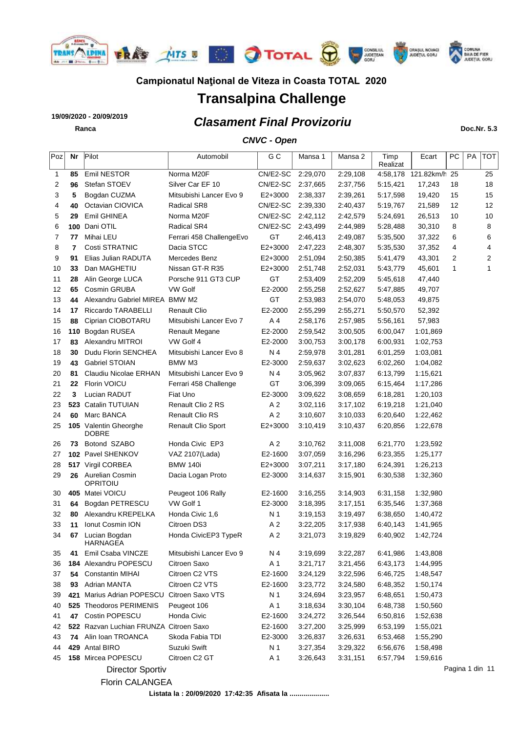

# **Transalpina Challenge**

### *Clasament Final Provizoriu* **19/09/2020 - 20/09/2019 Ranca Doc.Nr. 5.3**

#### *CNVC - Open*

| Poz | Nr  | Pilot                                                    | Automobil                | G C            | Mansa 1  | Mansa 2  | Timp<br>Realizat | Ecart                  | PC | PA | <b>TOT</b>     |
|-----|-----|----------------------------------------------------------|--------------------------|----------------|----------|----------|------------------|------------------------|----|----|----------------|
| 1   | 85  | Emil NESTOR                                              | Norma M20F               | CN/E2-SC       | 2:29,070 | 2:29,108 |                  | 4:58,178 121.82km/h 25 |    |    | 25             |
| 2   | 96  | Stefan STOEV                                             | Silver Car EF 10         | CN/E2-SC       | 2:37,665 | 2:37,756 | 5:15,421         | 17,243                 | 18 |    | 18             |
| 3   | 5   | Bogdan CUZMA                                             | Mitsubishi Lancer Evo 9  | E2+3000        | 2:38,337 | 2:39,261 | 5:17,598         | 19,420                 | 15 |    | 15             |
| 4   | 40  | Octavian CIOVICA                                         | Radical SR8              | CN/E2-SC       | 2:39,330 | 2:40,437 | 5:19,767         | 21,589                 | 12 |    | 12             |
| 5   | 29  | Emil GHINEA                                              | Norma M20F               | CN/E2-SC       | 2:42,112 | 2:42,579 | 5:24,691         | 26,513                 | 10 |    | 10             |
| 6   |     | 100 Dani OTIL                                            | Radical SR4              | CN/E2-SC       | 2:43,499 | 2:44,989 | 5:28,488         | 30,310                 | 8  |    | 8              |
| 7   | 77  | Mihai LEU                                                | Ferrari 458 ChallengeEvo | GT             | 2:46,413 | 2:49,087 | 5:35,500         | 37,322                 | 6  |    | 6              |
| 8   | 7   | Costi STRATNIC                                           | Dacia STCC               | E2+3000        | 2:47,223 | 2:48,307 | 5:35,530         | 37,352                 | 4  |    | 4              |
| 9   | 91  | Elias Julian RADUTA                                      | Mercedes Benz            | E2+3000        | 2:51,094 | 2:50,385 | 5:41,479         | 43,301                 | 2  |    | $\overline{2}$ |
| 10  | 33  | Dan MAGHETIU                                             | Nissan GT-R R35          | $E2+3000$      | 2:51,748 | 2:52,031 | 5:43,779         | 45,601                 | 1  |    | 1              |
| 11  | 28  | Alin George LUCA                                         | Porsche 911 GT3 CUP      | GT             | 2:53,409 | 2:52,209 | 5:45,618         | 47,440                 |    |    |                |
| 12  | 65  | Cosmin GRUBA                                             | <b>VW Golf</b>           | E2-2000        | 2:55,258 | 2:52,627 | 5:47,885         | 49,707                 |    |    |                |
| 13  | 44  | Alexandru Gabriel MIREA BMW M2                           |                          | GT             | 2:53,983 | 2:54,070 | 5:48,053         | 49,875                 |    |    |                |
| 14  | 17  | Riccardo TARABELLI                                       | Renault Clio             | E2-2000        | 2:55,299 | 2:55,271 | 5:50,570         | 52,392                 |    |    |                |
| 15  | 88  | Ciprian CIOBOTARU                                        | Mitsubishi Lancer Evo 7  | A 4            | 2:58,176 | 2:57,985 | 5:56,161         | 57,983                 |    |    |                |
| 16  |     | 110 Bogdan RUSEA                                         | <b>Renault Megane</b>    | E2-2000        | 2:59,542 | 3:00,505 | 6:00,047         | 1:01,869               |    |    |                |
| 17  | 83  | Alexandru MITROI                                         | VW Golf 4                | E2-2000        | 3:00,753 | 3:00,178 | 6:00,931         | 1:02,753               |    |    |                |
| 18  | 30  | Dudu Florin SENCHEA                                      | Mitsubishi Lancer Evo 8  | N 4            | 2:59,978 | 3:01,281 | 6:01,259         | 1:03,081               |    |    |                |
| 19  | 43  | <b>Gabriel STOIAN</b>                                    | BMW M3                   | E2-3000        | 2:59,637 | 3:02,623 | 6:02,260         | 1:04,082               |    |    |                |
| 20  | 81  | Claudiu Nicolae ERHAN                                    | Mitsubishi Lancer Evo 9  | N 4            | 3:05,962 | 3:07,837 | 6:13,799         | 1:15,621               |    |    |                |
| 21  | 22  | Florin VOICU                                             | Ferrari 458 Challenge    | GT             | 3:06,399 | 3:09,065 | 6:15,464         | 1:17,286               |    |    |                |
| 22  | 3   | Lucian RADUT                                             | Fiat Uno                 | E2-3000        | 3:09,622 | 3:08,659 | 6:18,281         | 1:20,103               |    |    |                |
| 23  | 523 | Catalin TUTUIAN                                          | Renault Clio 2 RS        | A 2            | 3:02,116 | 3:17,102 | 6:19,218         | 1:21,040               |    |    |                |
| 24  | 60  | Marc BANCA                                               | <b>Renault Clio RS</b>   | A 2            | 3:10,607 | 3:10,033 | 6:20,640         | 1:22,462               |    |    |                |
| 25  |     | 105 Valentin Gheorghe                                    | Renault Clio Sport       | $E2+3000$      | 3:10,419 | 3:10,437 | 6:20,856         | 1:22,678               |    |    |                |
| 26  | 73  | <b>DOBRE</b><br>Botond SZABO                             | Honda Civic EP3          | A 2            | 3:10,762 | 3:11,008 | 6:21,770         | 1:23,592               |    |    |                |
| 27  |     | 102 Pavel SHENKOV                                        | VAZ 2107(Lada)           | E2-1600        | 3:07,059 | 3:16,296 | 6:23,355         | 1:25,177               |    |    |                |
| 28  |     | 517 Virgil CORBEA                                        | <b>BMW 140i</b>          | $E2+3000$      | 3:07,211 | 3:17,180 | 6:24,391         | 1:26,213               |    |    |                |
| 29  | 26  | Aurelian Cosmin<br>OPRITOIU                              | Dacia Logan Proto        | E2-3000        | 3:14,637 | 3:15,901 | 6:30,538         | 1:32,360               |    |    |                |
| 30  |     | 405 Matei VOICU                                          | Peugeot 106 Rally        | E2-1600        | 3:16,255 | 3:14,903 | 6:31,158         | 1:32,980               |    |    |                |
| 31  | 64  | Bogdan PETRESCU                                          | VW Golf 1                | E2-3000        | 3:18,395 | 3:17,151 | 6:35,546         | 1:37,368               |    |    |                |
| 32  | 80  | Alexandru KREPELKA                                       | Honda Civic 1,6          | N 1            | 3:19,153 | 3:19,497 | 6:38,650         | 1:40,472               |    |    |                |
| 33  | 11  | Ionut Cosmin ION                                         | Citroen DS3              | A 2            | 3:22,205 | 3:17,938 | 6:40,143         | 1:41,965               |    |    |                |
| 34  | 67  | Lucian Bogdan<br>HARNAGEA                                | Honda CivicEP3 TypeR     | A <sub>2</sub> | 3:21,073 | 3:19,829 | 6:40,902         | 1:42,724               |    |    |                |
| 35  | 41  | Emil Csaba VINCZE                                        | Mitsubishi Lancer Evo 9  | N 4            | 3:19,699 | 3:22,287 | 6:41,986         | 1:43,808               |    |    |                |
| 36  |     | 184 Alexandru POPESCU                                    | Citroen Saxo             | A 1            | 3:21,717 | 3:21,456 | 6:43,173         | 1:44,995               |    |    |                |
| 37  | 54  | <b>Constantin MIHAI</b>                                  | Citroen C2 VTS           | E2-1600        | 3:24,129 | 3:22,596 | 6:46,725         | 1:48,547               |    |    |                |
| 38  | 93  | <b>Adrian MANTA</b>                                      | Citroen C2 VTS           | E2-1600        | 3:23,772 | 3:24,580 | 6:48,352         | 1:50,174               |    |    |                |
| 39  | 421 | Marius Adrian POPESCU Citroen Saxo VTS                   |                          | N 1            | 3:24,694 | 3:23,957 | 6:48,651         | 1:50,473               |    |    |                |
|     |     |                                                          |                          |                |          |          |                  |                        |    |    |                |
| 40  |     | 525 Theodoros PERIMENIS                                  | Peugeot 106              | A 1            | 3:18,634 | 3:30,104 | 6:48,738         | 1:50,560               |    |    |                |
| 41  | 47  | Costin POPESCU<br>522 Razvan Luchian FRUNZA Citroen Saxo | Honda Civic              | E2-1600        | 3:24,272 | 3:26,544 | 6:50,816         | 1:52,638               |    |    |                |
| 42  |     |                                                          |                          | E2-1600        | 3:27,200 | 3:25,999 | 6:53,199         | 1:55,021               |    |    |                |
| 43  | 74  | Alin Ioan TROANCA                                        | Skoda Fabia TDI          | E2-3000        | 3:26,837 | 3:26,631 | 6:53,468         | 1:55,290               |    |    |                |
| 44  |     | 429 Antal BIRO                                           | Suzuki Swift             | N 1            | 3:27,354 | 3:29,322 | 6:56,676         | 1:58,498               |    |    |                |
| 45  |     | 158 Mircea POPESCU                                       | Citroen C2 GT            | A 1            | 3:26,643 | 3:31,151 | 6:57,794         | 1:59,616               |    |    |                |



Pagina 1 din 11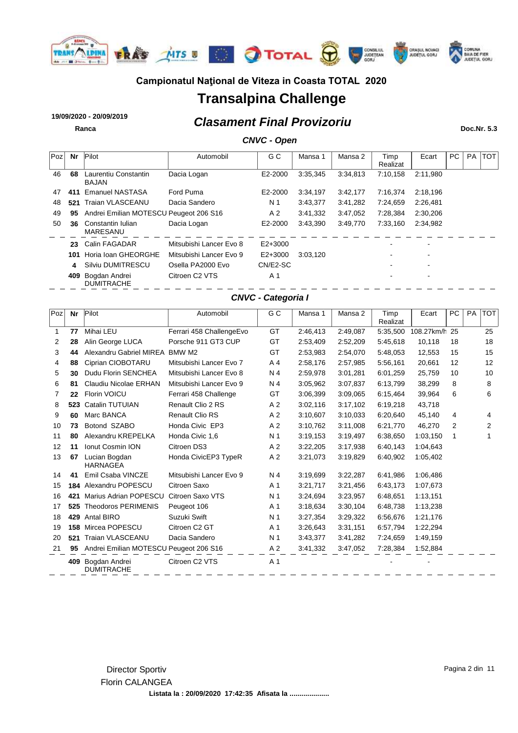

# **Transalpina Challenge**

### *Clasament Final Provizoriu* **19/09/2020 - 20/09/2019 Ranca Doc.Nr. 5.3**

### *CNVC - Open*

| Poz | Nr  | Pilot                                  | Automobil                  | G C            | Mansa 1  | Mansa 2  | Timp<br>Realizat | Ecart                    | PC. | <b>PA</b> | <b>TOT</b> |
|-----|-----|----------------------------------------|----------------------------|----------------|----------|----------|------------------|--------------------------|-----|-----------|------------|
| 46  | 68  | Laurentiu Constantin<br><b>BAJAN</b>   | Dacia Logan                | E2-2000        | 3:35.345 | 3:34.813 | 7:10.158         | 2:11.980                 |     |           |            |
| 47  | 411 | <b>Emanuel NASTASA</b>                 | Ford Puma                  | E2-2000        | 3:34.197 | 3:42,177 | 7:16.374         | 2:18.196                 |     |           |            |
| 48  | 521 | Traian VLASCEANU                       | Dacia Sandero              | N 1            | 3:43,377 | 3:41.282 | 7:24.659         | 2:26,481                 |     |           |            |
| 49  | 95  | Andrei Emilian MOTESCU Peugeot 206 S16 |                            | A <sub>2</sub> | 3:41.332 | 3:47,052 | 7:28.384         | 2:30.206                 |     |           |            |
| 50  | 36  | Constantin Iulian<br>MARESANU          | Dacia Logan                | E2-2000        | 3:43,390 | 3:49.770 | 7:33.160         | 2:34,982                 |     |           |            |
|     | 23  | Calin FAGADAR                          | Mitsubishi Lancer Evo 8    | $E2+3000$      |          |          |                  | $\overline{\phantom{0}}$ |     |           |            |
|     | 101 | Horia Ioan GHEORGHE                    | Mitsubishi Lancer Evo 9    | $E2+3000$      | 3:03.120 |          |                  |                          |     |           |            |
|     | 4   | Silviu DUMITRESCU                      | Osella PA2000 Evo          | CN/E2-SC       |          |          |                  | $\overline{\phantom{a}}$ |     |           |            |
|     | 409 | Bogdan Andrei<br><b>DUMITRACHE</b>     | Citroen C <sub>2</sub> VTS | A 1            |          |          |                  |                          |     |           |            |

#### *CNVC - Categoria I*

| Poz | Nr  | Pilot                                  | Automobil                | G C            | Mansa 1  | Mansa 2  | Timp<br>Realizat | Ecart         | PC | <b>PA</b> | <b>TOT</b> |
|-----|-----|----------------------------------------|--------------------------|----------------|----------|----------|------------------|---------------|----|-----------|------------|
| 1   | 77  | Mihai LEU                              | Ferrari 458 ChallengeEvo | GT             | 2:46,413 | 2:49,087 | 5:35.500         | 108.27km/h 25 |    |           | 25         |
| 2   | 28  | Alin George LUCA                       | Porsche 911 GT3 CUP      | GT             | 2:53,409 | 2:52,209 | 5:45,618         | 10,118        | 18 |           | 18         |
| 3   | 44  | Alexandru Gabriel MIREA                | BMW M2                   | GT             | 2:53,983 | 2:54.070 | 5:48.053         | 12,553        | 15 |           | 15         |
| 4   | 88  | Ciprian CIOBOTARU                      | Mitsubishi Lancer Evo 7  | A <sub>4</sub> | 2:58,176 | 2:57,985 | 5:56,161         | 20,661        | 12 |           | 12         |
| 5   | 30  | Dudu Florin SENCHEA                    | Mitsubishi Lancer Evo 8  | N 4            | 2:59,978 | 3:01,281 | 6:01,259         | 25,759        | 10 |           | 10         |
| 6   | 81  | Claudiu Nicolae ERHAN                  | Mitsubishi Lancer Evo 9  | N <sub>4</sub> | 3:05,962 | 3:07,837 | 6:13,799         | 38,299        | 8  |           | 8          |
| 7   | 22  | <b>Florin VOICU</b>                    | Ferrari 458 Challenge    | GT             | 3:06.399 | 3:09,065 | 6:15,464         | 39.964        | 6  |           | 6          |
| 8   | 523 | Catalin TUTUIAN                        | Renault Clio 2 RS        | A <sub>2</sub> | 3:02,116 | 3:17,102 | 6:19,218         | 43,718        |    |           |            |
| 9   | 60  | Marc BANCA                             | <b>Renault Clio RS</b>   | A <sub>2</sub> | 3:10.607 | 3:10,033 | 6:20.640         | 45.140        | 4  |           | 4          |
| 10  | 73  | Botond SZABO                           | Honda Civic EP3          | A <sub>2</sub> | 3:10,762 | 3:11,008 | 6:21,770         | 46.270        | 2  |           | 2          |
| 11  | 80  | Alexandru KREPELKA                     | Honda Civic 1,6          | N 1            | 3:19,153 | 3:19,497 | 6:38,650         | 1:03,150      | 1  |           |            |
| 12  | 11  | <b>Ionut Cosmin ION</b>                | Citroen DS3              | A <sub>2</sub> | 3:22,205 | 3:17,938 | 6:40,143         | 1:04,643      |    |           |            |
| 13  | 67  | Lucian Bogdan<br><b>HARNAGEA</b>       | Honda CivicEP3 TypeR     | A <sub>2</sub> | 3:21,073 | 3:19,829 | 6:40,902         | 1:05,402      |    |           |            |
| 14  | 41  | Emil Csaba VINCZE                      | Mitsubishi Lancer Evo 9  | N <sub>4</sub> | 3:19,699 | 3:22,287 | 6:41,986         | 1:06,486      |    |           |            |
| 15  | 184 | Alexandru POPESCU                      | Citroen Saxo             | A <sub>1</sub> | 3:21,717 | 3:21,456 | 6:43,173         | 1:07,673      |    |           |            |
| 16  | 421 | Marius Adrian POPESCU                  | Citroen Saxo VTS         | N <sub>1</sub> | 3:24,694 | 3:23,957 | 6:48,651         | 1:13,151      |    |           |            |
| 17  | 525 | <b>Theodoros PERIMENIS</b>             | Peugeot 106              | A <sub>1</sub> | 3:18,634 | 3:30,104 | 6:48,738         | 1:13,238      |    |           |            |
| 18  | 429 | Antal BIRO                             | Suzuki Swift             | N <sub>1</sub> | 3:27,354 | 3:29,322 | 6:56,676         | 1:21,176      |    |           |            |
| 19  | 158 | Mircea POPESCU                         | Citroen C2 GT            | A <sub>1</sub> | 3:26,643 | 3:31,151 | 6:57,794         | 1:22,294      |    |           |            |
| 20  | 521 | <b>Traian VLASCEANU</b>                | Dacia Sandero            | N <sub>1</sub> | 3:43,377 | 3:41,282 | 7:24,659         | 1:49,159      |    |           |            |
| 21  | 95  | Andrei Emilian MOTESCU Peugeot 206 S16 |                          | A <sub>2</sub> | 3:41,332 | 3:47,052 | 7:28,384         | 1:52,884      |    |           |            |
|     | 409 | Bogdan Andrei<br><b>DUMITRACHE</b>     | Citroen C2 VTS           | A <sub>1</sub> |          |          |                  |               |    |           |            |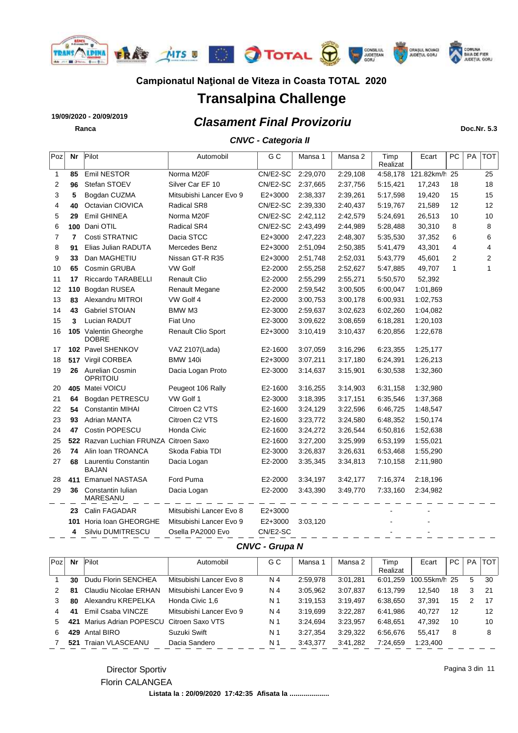

# **Transalpina Challenge**

### *Clasament Final Provizoriu* **19/09/2020 - 20/09/2019 Ranca Doc.Nr. 5.3**

*CNVC - Categoria II*

| Poz | Nr             | Pilot                                  | Automobil               | G C       | Mansa 1  | Mansa 2  | Timp<br>Realizat | Ecart                  | <b>PC</b>      | PA | <b>TOT</b>   |
|-----|----------------|----------------------------------------|-------------------------|-----------|----------|----------|------------------|------------------------|----------------|----|--------------|
| 1   | 85             | Emil NESTOR                            | Norma M20F              | CN/E2-SC  | 2:29,070 | 2:29,108 |                  | 4:58,178 121.82km/h 25 |                |    | 25           |
| 2   | 96             | Stefan STOEV                           | Silver Car EF 10        | CN/E2-SC  | 2:37,665 | 2:37,756 | 5:15,421         | 17,243                 | 18             |    | 18           |
| 3   | 5              | Bogdan CUZMA                           | Mitsubishi Lancer Evo 9 | E2+3000   | 2:38,337 | 2:39,261 | 5:17,598         | 19,420                 | 15             |    | 15           |
| 4   | 40             | Octavian CIOVICA                       | <b>Radical SR8</b>      | CN/E2-SC  | 2:39,330 | 2:40,437 | 5:19,767         | 21,589                 | 12             |    | 12           |
| 5   | 29             | Emil GHINEA                            | Norma M20F              | CN/E2-SC  | 2:42,112 | 2:42,579 | 5:24,691         | 26,513                 | 10             |    | 10           |
| 6   | 100            | Dani OTIL                              | Radical SR4             | CN/E2-SC  | 2:43,499 | 2:44,989 | 5:28,488         | 30,310                 | 8              |    | 8            |
| 7   | $\overline{7}$ | Costi STRATNIC                         | Dacia STCC              | E2+3000   | 2:47,223 | 2:48,307 | 5:35,530         | 37,352                 | 6              |    | 6            |
| 8   | 91             | Elias Julian RADUTA                    | Mercedes Benz           | E2+3000   | 2:51,094 | 2:50,385 | 5:41,479         | 43,301                 | 4              |    | 4            |
| 9   | 33             | Dan MAGHETIU                           | Nissan GT-R R35         | E2+3000   | 2:51,748 | 2:52,031 | 5:43,779         | 45,601                 | $\overline{2}$ |    | 2            |
| 10  | 65             | Cosmin GRUBA                           | <b>VW Golf</b>          | E2-2000   | 2:55,258 | 2:52,627 | 5:47,885         | 49,707                 | 1              |    | $\mathbf{1}$ |
| 11  | 17             | Riccardo TARABELLI                     | <b>Renault Clio</b>     | E2-2000   | 2:55,299 | 2:55,271 | 5:50,570         | 52,392                 |                |    |              |
| 12  | 110            | Bogdan RUSEA                           | Renault Megane          | E2-2000   | 2:59,542 | 3:00,505 | 6:00,047         | 1:01,869               |                |    |              |
| 13  | 83             | Alexandru MITROI                       | VW Golf 4               | E2-2000   | 3:00,753 | 3:00,178 | 6:00,931         | 1:02,753               |                |    |              |
| 14  | 43             | <b>Gabriel STOIAN</b>                  | BMW M3                  | E2-3000   | 2:59,637 | 3:02,623 | 6:02,260         | 1:04,082               |                |    |              |
| 15  | 3              | Lucian RADUT                           | Fiat Uno                | E2-3000   | 3:09,622 | 3:08,659 | 6:18,281         | 1:20,103               |                |    |              |
| 16  |                | 105 Valentin Gheorghe<br><b>DOBRE</b>  | Renault Clio Sport      | $E2+3000$ | 3:10,419 | 3:10,437 | 6:20,856         | 1:22,678               |                |    |              |
| 17  |                | 102 Pavel SHENKOV                      | VAZ 2107(Lada)          | E2-1600   | 3:07,059 | 3:16,296 | 6:23,355         | 1:25,177               |                |    |              |
| 18  |                | 517 Virgil CORBEA                      | <b>BMW 140i</b>         | E2+3000   | 3:07,211 | 3:17,180 | 6:24,391         | 1:26,213               |                |    |              |
| 19  |                | 26 Aurelian Cosmin<br>OPRITOIU         | Dacia Logan Proto       | E2-3000   | 3:14,637 | 3:15,901 | 6:30,538         | 1:32,360               |                |    |              |
| 20  | 405            | Matei VOICU                            | Peugeot 106 Rally       | E2-1600   | 3:16,255 | 3:14,903 | 6:31,158         | 1:32,980               |                |    |              |
| 21  | 64             | Bogdan PETRESCU                        | VW Golf 1               | E2-3000   | 3:18,395 | 3:17,151 | 6:35,546         | 1:37,368               |                |    |              |
| 22  | 54             | <b>Constantin MIHAI</b>                | Citroen C2 VTS          | E2-1600   | 3:24,129 | 3:22,596 | 6:46,725         | 1:48,547               |                |    |              |
| 23  | 93             | Adrian MANTA                           | Citroen C2 VTS          | E2-1600   | 3:23,772 | 3:24,580 | 6:48,352         | 1:50,174               |                |    |              |
| 24  | 47             | Costin POPESCU                         | Honda Civic             | E2-1600   | 3:24,272 | 3:26,544 | 6:50,816         | 1:52,638               |                |    |              |
| 25  |                | 522 Razvan Luchian FRUNZA Citroen Saxo |                         | E2-1600   | 3:27,200 | 3:25,999 | 6:53,199         | 1:55,021               |                |    |              |
| 26  | 74             | Alin Ioan TROANCA                      | Skoda Fabia TDI         | E2-3000   | 3:26,837 | 3:26,631 | 6:53,468         | 1:55,290               |                |    |              |
| 27  | 68             | Laurentiu Constantin<br><b>BAJAN</b>   | Dacia Logan             | E2-2000   | 3:35,345 | 3:34,813 | 7:10,158         | 2:11,980               |                |    |              |
| 28  | 411            | <b>Emanuel NASTASA</b>                 | Ford Puma               | E2-2000   | 3:34,197 | 3:42,177 | 7:16,374         | 2:18,196               |                |    |              |
| 29  | 36             | Constantin Iulian<br>MARESANU          | Dacia Logan             | E2-2000   | 3:43,390 | 3:49,770 | 7:33,160         | 2:34,982               |                |    |              |
|     | 23             | Calin FAGADAR                          | Mitsubishi Lancer Evo 8 | $E2+3000$ |          |          |                  |                        |                |    |              |
|     | 101            | Horia Ioan GHEORGHE                    | Mitsubishi Lancer Evo 9 | $E2+3000$ | 3:03,120 |          |                  |                        |                |    |              |
|     | 4              | Silviu DUMITRESCU                      | Osella PA2000 Evo       | CN/E2-SC  |          |          |                  |                        |                |    |              |
|     |                |                                        |                         |           |          |          |                  |                        |                |    |              |

#### *CNVC - Grupa N*

| Poz | Nr  | Pilot                 | Automobil               | G C            | Mansa 1  | Mansa 2  | Timp     | Ecart         | PC | PA. | <b>TOT</b> |
|-----|-----|-----------------------|-------------------------|----------------|----------|----------|----------|---------------|----|-----|------------|
|     |     |                       |                         |                |          |          | Realizat |               |    |     |            |
|     | 30  | Dudu Florin SENCHEA   | Mitsubishi Lancer Evo 8 | N 4            | 2:59.978 | 3:01.281 | 6:01.259 | 100.55km/h 25 |    | 5   | 30         |
|     | 81  | Claudiu Nicolae ERHAN | Mitsubishi Lancer Evo 9 | N 4            | 3:05.962 | 3:07.837 | 6:13.799 | 12.540        | 18 | 3   | -21        |
|     | 80  | Alexandru KREPELKA    | Honda Civic 1.6         | N 1            | 3:19.153 | 3:19.497 | 6:38.650 | 37.391        | 15 | 2   | -17        |
| 4   | 41  | Emil Csaba VINCZE     | Mitsubishi Lancer Evo 9 | N 4            | 3:19.699 | 3:22.287 | 6:41.986 | 40.727        | 12 |     | 12         |
| 5.  | 421 | Marius Adrian POPESCU | Citroen Saxo VTS        | N <sub>1</sub> | 3.24.694 | 3:23,957 | 6:48.651 | 47.392        | 10 |     | 10         |
| 6   | 429 | Antal BIRO            | Suzuki Swift            | N <sub>1</sub> | 3:27.354 | 3:29.322 | 6:56.676 | 55.417        | 8  |     | 8          |
|     | 521 | Traian VLASCEANU      | Dacia Sandero           | N 1            | 3:43.377 | 3:41.282 | 7:24.659 | 1:23.400      |    |     |            |

Director Sportiv Florin CALANGEA Pagina 3 din 11

**Listata la : 20/09/2020 17:42:35 Afisata la ....................**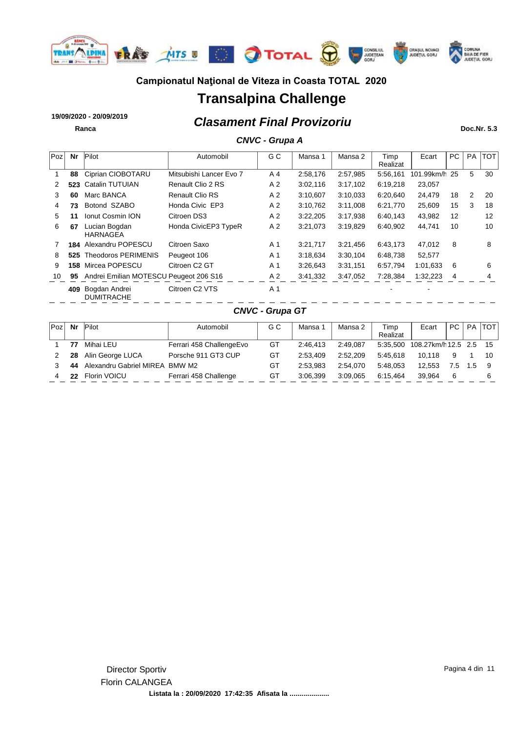

# **Transalpina Challenge**

*Clasament Final Provizoriu* **19/09/2020 - 20/09/2019 Ranca Doc.Nr. 5.3**

### *CNVC - Grupa A*

| Poz | <b>Nr</b> | Pilot                                  | Automobil                 | G C                    | Mansa 1  | Mansa 2  | Timp<br>Realizat | Ecart      | PC | <b>PA</b>      | <b>TOT</b> |
|-----|-----------|----------------------------------------|---------------------------|------------------------|----------|----------|------------------|------------|----|----------------|------------|
|     | 88        | Ciprian CIOBOTARU                      | Mitsubishi Lancer Evo 7   | A <sub>4</sub>         | 2:58,176 | 2:57,985 | 5:56,161         | 101.99km/h | 25 | 5              | 30         |
| 2   | 523       | <b>Catalin TUTUIAN</b>                 | Renault Clio 2 RS         | A 2                    | 3:02,116 | 3:17,102 | 6:19,218         | 23,057     |    |                |            |
| 3   | 60        | Marc BANCA                             | <b>Renault Clio RS</b>    | A <sub>2</sub>         | 3:10,607 | 3:10,033 | 6:20,640         | 24,479     | 18 | $\overline{2}$ | 20         |
| 4   | 73        | Botond SZABO                           | Honda Civic EP3           | A <sub>2</sub>         | 3:10,762 | 3:11,008 | 6:21,770         | 25,609     | 15 | 3              | 18         |
| 5   | 11        | <b>Ionut Cosmin ION</b>                | Citroen DS3               | A 2                    | 3:22,205 | 3:17,938 | 6:40,143         | 43,982     | 12 |                | 12         |
| 6   | 67        | Lucian Bogdan<br><b>HARNAGEA</b>       | Honda CivicEP3 TypeR      | A 2                    | 3:21,073 | 3:19,829 | 6:40,902         | 44,741     | 10 |                | 10         |
| 7   | 184       | Alexandru POPESCU                      | Citroen Saxo              | A <sub>1</sub>         | 3:21,717 | 3:21,456 | 6:43,173         | 47,012     | 8  |                | 8          |
| 8   | 525       | <b>Theodoros PERIMENIS</b>             | Peugeot 106               | A <sub>1</sub>         | 3:18,634 | 3:30,104 | 6:48,738         | 52,577     |    |                |            |
| 9   | 158       | Mircea POPESCU                         | Citroen C <sub>2</sub> GT | A <sub>1</sub>         | 3:26,643 | 3:31,151 | 6:57,794         | 1:01,633   | 6  |                | 6          |
| 10  | 95        | Andrei Emilian MOTESCU Peugeot 206 S16 |                           | A 2                    | 3:41,332 | 3:47,052 | 7:28,384         | 1:32,223   | 4  |                |            |
|     | 409       | Bogdan Andrei<br><b>DUMITRACHE</b>     | Citroen C2 VTS            | A <sub>1</sub>         |          |          |                  |            |    |                |            |
|     |           |                                        |                           | <b>CNVC - Grupa GT</b> |          |          |                  |            |    |                |            |

| Poz | Nr | Pilot                          | Automobil                | G C | Mansa    | Mansa 2  | Timp<br>Realizat | Ecart                           | PC  | <b>PA</b> | <b>TOT</b> |
|-----|----|--------------------------------|--------------------------|-----|----------|----------|------------------|---------------------------------|-----|-----------|------------|
|     | 77 | Mihai LEU                      | Ferrari 458 ChallengeEvo | GT  | 2:46.413 | 2:49.087 |                  | 5:35,500 108.27km/h 12.5 2.5 15 |     |           |            |
|     | 28 | Alin George LUCA               | Porsche 911 GT3 CUP      | GT  | 2:53.409 | 2:52.209 | 5:45.618         | 10.118                          | 9   |           | 10         |
|     | 44 | Alexandru Gabriel MIREA BMW M2 |                          | GT  | 2:53.983 | 2:54.070 | 5.48.053         | 12.553                          | 7.5 | 1.5       |            |
|     | 22 | Florin VOICU                   | Ferrari 458 Challenge    | GT  | 3:06.399 | 3:09.065 | 6:15.464         | 39.964                          | 6   |           |            |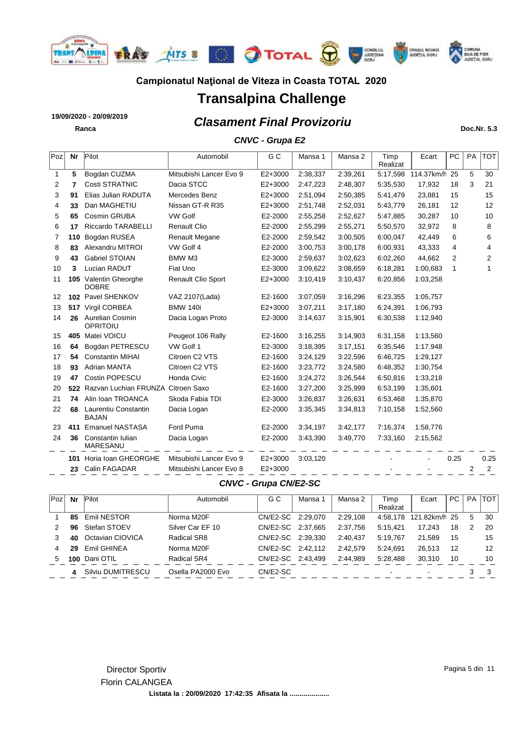

# **Transalpina Challenge**

# *Clasament Final Provizoriu* **19/09/2020 - 20/09/2019**

### *CNVC - Grupa E2*

| Poz | Nr  | Pilot                                  | Automobil               | G C       | Mansa 1  | Mansa 2  | Timp<br>Realizat | Ecart         | PC   | <b>PA</b>      | <b>TOT</b>     |
|-----|-----|----------------------------------------|-------------------------|-----------|----------|----------|------------------|---------------|------|----------------|----------------|
| 1   | 5   | Bogdan CUZMA                           | Mitsubishi Lancer Evo 9 | E2+3000   | 2:38,337 | 2:39,261 | 5:17,598         | 114.37km/h 25 |      | 5              | 30             |
| 2   | 7   | Costi STRATNIC                         | Dacia STCC              | $E2+3000$ | 2:47,223 | 2:48,307 | 5:35,530         | 17,932        | 18   | 3              | 21             |
| 3   | 91  | Elias Julian RADUTA                    | Mercedes Benz           | $E2+3000$ | 2:51,094 | 2:50,385 | 5:41,479         | 23,881        | 15   |                | 15             |
| 4   | 33  | Dan MAGHETIU                           | Nissan GT-R R35         | $E2+3000$ | 2:51,748 | 2:52,031 | 5:43,779         | 26,181        | 12   |                | 12             |
| 5   | 65  | Cosmin GRUBA                           | <b>VW Golf</b>          | E2-2000   | 2:55,258 | 2:52,627 | 5:47,885         | 30,287        | 10   |                | 10             |
| 6   | 17  | <b>Riccardo TARABELLI</b>              | <b>Renault Clio</b>     | E2-2000   | 2:55,299 | 2:55,271 | 5:50,570         | 32,972        | 8    |                | 8              |
| 7   | 110 | Bogdan RUSEA                           | <b>Renault Megane</b>   | E2-2000   | 2:59,542 | 3:00,505 | 6:00,047         | 42,449        | 6    |                | 6              |
| 8   | 83  | Alexandru MITROI                       | VW Golf 4               | E2-2000   | 3:00,753 | 3:00,178 | 6:00,931         | 43,333        | 4    |                | 4              |
| 9   | 43  | <b>Gabriel STOIAN</b>                  | BMW M3                  | E2-3000   | 2:59,637 | 3:02,623 | 6:02,260         | 44,662        | 2    |                | 2              |
| 10  | 3   | Lucian RADUT                           | Fiat Uno                | E2-3000   | 3:09,622 | 3:08,659 | 6:18,281         | 1:00,683      | 1    |                |                |
| 11  |     | 105 Valentin Gheorghe<br><b>DOBRE</b>  | Renault Clio Sport      | $E2+3000$ | 3:10,419 | 3:10,437 | 6:20,856         | 1:03,258      |      |                |                |
| 12  |     | 102 Pavel SHENKOV                      | VAZ 2107(Lada)          | E2-1600   | 3:07,059 | 3:16,296 | 6:23,355         | 1:05,757      |      |                |                |
| 13  |     | 517 Virgil CORBEA                      | <b>BMW 140i</b>         | $E2+3000$ | 3:07,211 | 3:17,180 | 6:24,391         | 1:06,793      |      |                |                |
| 14  |     | 26 Aurelian Cosmin<br>OPRITOIU         | Dacia Logan Proto       | E2-3000   | 3:14,637 | 3:15,901 | 6:30,538         | 1:12,940      |      |                |                |
| 15  |     | 405 Matei VOICU                        | Peugeot 106 Rally       | E2-1600   | 3:16,255 | 3:14,903 | 6:31,158         | 1:13,560      |      |                |                |
| 16  | 64  | Bogdan PETRESCU                        | VW Golf 1               | E2-3000   | 3:18,395 | 3:17,151 | 6:35,546         | 1:17,948      |      |                |                |
| 17  | 54  | <b>Constantin MIHAI</b>                | Citroen C2 VTS          | E2-1600   | 3:24,129 | 3:22,596 | 6:46,725         | 1:29,127      |      |                |                |
| 18  | 93  | <b>Adrian MANTA</b>                    | Citroen C2 VTS          | E2-1600   | 3:23,772 | 3:24,580 | 6:48,352         | 1:30,754      |      |                |                |
| 19  | 47  | Costin POPESCU                         | <b>Honda Civic</b>      | E2-1600   | 3:24,272 | 3:26,544 | 6:50,816         | 1:33,218      |      |                |                |
| 20  |     | 522 Razvan Luchian FRUNZA Citroen Saxo |                         | E2-1600   | 3:27,200 | 3:25,999 | 6:53,199         | 1:35,601      |      |                |                |
| 21  | 74  | Alin Ioan TROANCA                      | Skoda Fabia TDI         | E2-3000   | 3:26,837 | 3:26,631 | 6:53,468         | 1:35,870      |      |                |                |
| 22  | 68  | Laurentiu Constantin<br><b>BAJAN</b>   | Dacia Logan             | E2-2000   | 3:35,345 | 3:34,813 | 7:10,158         | 1:52,560      |      |                |                |
| 23  |     | 411 Emanuel NASTASA                    | Ford Puma               | E2-2000   | 3:34,197 | 3:42,177 | 7:16,374         | 1:58,776      |      |                |                |
| 24  | 36  | Constantin Iulian<br>MARESANU          | Dacia Logan             | E2-2000   | 3:43,390 | 3:49,770 | 7:33,160         | 2:15,562      |      |                |                |
|     |     | 101 Horia Ioan GHEORGHE                | Mitsubishi Lancer Evo 9 | $E2+3000$ | 3:03,120 |          |                  |               | 0.25 |                | 0.25           |
|     |     | 23 Calin FAGADAR                       | Mitsubishi Lancer Evo 8 | $E2+3000$ |          |          |                  |               |      | $\overline{2}$ | $\overline{2}$ |

#### *CNVC - Grupa CN/E2-SC*

| Poz | Nr  | Pilot             | Automobil         | G C               | Mansa | Mansa 2  | Timp<br>Realizat | Ecart         | PC. | <b>PA</b> | <b>TOT</b> |
|-----|-----|-------------------|-------------------|-------------------|-------|----------|------------------|---------------|-----|-----------|------------|
|     | 85  | Emil NESTOR       | Norma M20F        | CN/E2-SC 2:29,070 |       | 2:29,108 | 4:58.178         | 121.82km/h 25 |     | 5         | -30        |
|     | 96  | Stefan STOEV      | Silver Car EF 10  | CN/E2-SC 2:37.665 |       | 2:37.756 | 5:15.421         | 17.243        | 18  |           | 20         |
|     | 40  | Octavian CIOVICA  | Radical SR8       | CN/E2-SC 2:39.330 |       | 2:40.437 | 5:19.767         | 21.589        | 15  |           | 15         |
| 4   | 29  | Emil GHINEA       | Norma M20F        | CN/E2-SC 2:42.112 |       | 2:42.579 | 5.24.691         | 26.513        | 12  |           | 12         |
| 5   | 100 | Dani OTIL         | Radical SR4       | CN/E2-SC 2:43.499 |       | 2:44.989 | 5:28.488         | 30.310        | 10  |           | 10         |
|     |     | Silviu DUMITRESCU | Osella PA2000 Evo | CN/E2-SC          |       |          |                  |               |     |           | 3          |

**Ranca Doc.Nr. 5.3**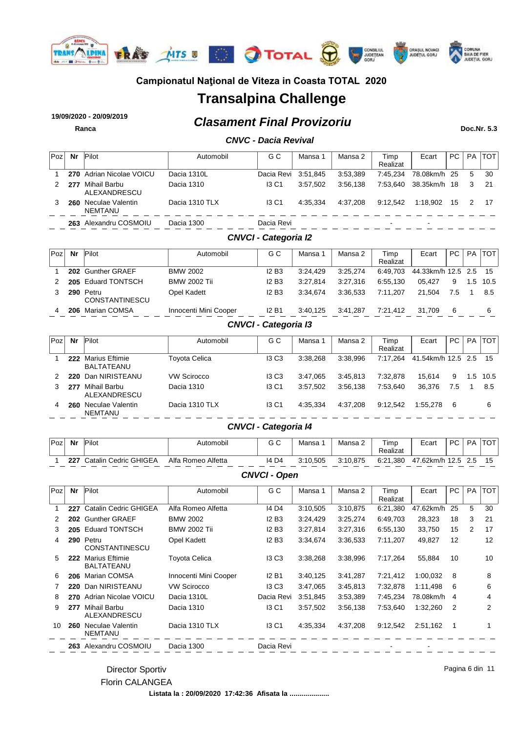

# **Transalpina Challenge**

# *Clasament Final Provizoriu* **19/09/2020 - 20/09/2019**

**Ranca Doc.Nr. 5.3**

Pagina 6 din 11

### *CNVC - Dacia Revival*

| Poz | Nr  | Pilot                        | Automobil      | G C                 | Mansa 1  | Mansa 2  | Timp<br>Realizat         | Ecart                    | PC. | <b>PA</b> | <b>TOT</b> |
|-----|-----|------------------------------|----------------|---------------------|----------|----------|--------------------------|--------------------------|-----|-----------|------------|
|     |     | 270 Adrian Nicolae VOICU     | Dacia 1310L    | Dacia Revi 3:51,845 |          | 3:53.389 | 7:45.234                 | 78.08km/h 25             |     | 5         | - 30       |
|     | 277 | Mihail Barbu<br>ALEXANDRESCU | Dacia 1310     | 13 C <sub>1</sub>   | 3:57.502 | 3:56.138 | 7:53.640                 | 38.35km/h 18             |     | 3         | -21        |
|     | 260 | Neculae Valentin<br>NEMTANU  | Dacia 1310 TLX | 13 C <sub>1</sub>   | 4:35.334 | 4:37.208 | 9:12.542                 | 1:18.902                 | 15  |           | - 17       |
|     |     | 263 Alexandru COSMOIU        | Dacia 1300     | Dacia Revi          |          |          | $\overline{\phantom{0}}$ | $\overline{\phantom{a}}$ |     |           |            |

#### *CNVCI - Categoria I2*

| Poz | Nr  | Pilot                              | Automobil             | G C          | Mansa    | Mansa 2  | Timp<br>Realizat | Ecart                 | PC. | <b>PA</b> | <b>TOT</b> |
|-----|-----|------------------------------------|-----------------------|--------------|----------|----------|------------------|-----------------------|-----|-----------|------------|
|     |     | 202 Gunther GRAEF                  | <b>BMW 2002</b>       | 12B3         | 3:24.429 | 3:25.274 | 6:49.703         | 44.33km/h 12.5 2.5 15 |     |           |            |
|     |     | 205 Eduard TONTSCH                 | <b>BMW 2002 Tii</b>   | 12B3         | 3:27.814 | 3:27.316 | 6:55.130         | 05.427                | 9   | 1.5       | 10.5       |
|     |     | 290 Petru<br><b>CONSTANTINESCU</b> | Opel Kadett           | <b>I2 B3</b> | 3:34.674 | 3:36.533 | 7:11.207         | 21.504                | 7.5 |           | 8.5        |
|     | 206 | Marian COMSA                       | Innocenti Mini Cooper | <b>I2 B1</b> | 3:40.125 | 3:41.287 | 7:21.412         | 31.709                | 6   |           | 6          |

### *CNVCI - Categoria I3*

| Poz | Nr  | Pilot                               | Automobil            | G C          | Mansa    | Mansa 2  | Timp<br>Realizat | Ecart              | PC. | <b>PA</b> | <b>TOT</b> |
|-----|-----|-------------------------------------|----------------------|--------------|----------|----------|------------------|--------------------|-----|-----------|------------|
|     | 222 | Marius Eftimie<br><b>BALTATEANU</b> | <b>Toyota Celica</b> | <b>13 C3</b> | 3:38.268 | 3:38.996 | 7:17.264         | 41.54km/h 12.5 2.5 |     |           | - 15       |
|     | 220 | Dan NIRISTEANU                      | <b>VW Scirocco</b>   | <b>13 C3</b> | 3:47.065 | 3:45.813 | 7:32.878         | 15.614             | 9   | 1.5       | - 10.5     |
|     | 277 | Mihail Barbu<br>ALEXANDRESCU        | Dacia 1310           | <b>13 C1</b> | 3:57.502 | 3:56.138 | 7:53.640         | 36.376             | 7.5 |           | 8.5        |
| 4   | 260 | Neculae Valentin<br><b>NEMTANU</b>  | Dacia 1310 TLX       | <b>13 C1</b> | 4:35.334 | 4:37.208 | 9:12.542         | 1:55.278           | 6   |           | 6          |

### *CNVCI - Categoria I4*

| Pozl | Nr  | Pilot                 | Automobil             | <b>∩∩</b><br>ن ق | Mansa    | Mansa 2  | Timp<br>Realizat | Ecart     | РC | <b>PA</b> | TOT |
|------|-----|-----------------------|-----------------------|------------------|----------|----------|------------------|-----------|----|-----------|-----|
|      | 227 | Catalin Cedric GHIGEA | Alfa Romeo<br>Alfetta | 14 D4            | 3:10.505 | 3:10.875 | 6:21,380         | 47.62km/h |    | 2.5       |     |

#### *CNVCI - Open*

| Poz | Nr  | Pilot                               | Automobil             | G C               | Mansa 1  | Mansa 2  | Timp<br>Realizat | Ecart     | PC | <b>PA</b> | <b>TOT</b> |
|-----|-----|-------------------------------------|-----------------------|-------------------|----------|----------|------------------|-----------|----|-----------|------------|
|     | 227 | <b>Catalin Cedric GHIGEA</b>        | Alfa Romeo Alfetta    | 14 D4             | 3:10,505 | 3:10.875 | 6:21,380         | 47.62km/h | 25 | 5         | 30         |
| 2   | 202 | <b>Gunther GRAEF</b>                | <b>BMW 2002</b>       | <b>I2 B3</b>      | 3:24.429 | 3.25,274 | 6:49.703         | 28,323    | 18 | 3         | 21         |
| 3   | 205 | <b>Eduard TONTSCH</b>               | <b>BMW 2002 Tii</b>   | <b>I2 B3</b>      | 3:27.814 | 3:27,316 | 6:55,130         | 33,750    | 15 | 2         | 17         |
| 4   |     | 290 Petru<br><b>CONSTANTINESCU</b>  | Opel Kadett           | <b>I2 B3</b>      | 3:34.674 | 3:36.533 | 7:11.207         | 49,827    | 12 |           | 12         |
| 5   | 222 | <b>Marius Eftimie</b><br>BALTATEANU | <b>Toyota Celica</b>  | <b>13 C3</b>      | 3:38,268 | 3:38,996 | 7:17.264         | 55,884    | 10 |           | 10         |
| 6   | 206 | Marian COMSA                        | Innocenti Mini Cooper | <b>I2 B1</b>      | 3:40,125 | 3:41,287 | 7:21,412         | 1:00,032  | 8  |           | 8          |
|     | 220 | Dan NIRISTEANU                      | <b>VW Scirocco</b>    | 13 C <sub>3</sub> | 3:47,065 | 3:45,813 | 7:32,878         | 1:11,498  | 6  |           | 6          |
| 8   | 270 | Adrian Nicolae VOICU                | Dacia 1310L           | Dacia Revi        | 3:51,845 | 3:53,389 | 7:45,234         | 78.08km/h | 4  |           | 4          |
| 9   | 277 | Mihail Barbu<br>ALEXANDRESCU        | Dacia 1310            | <b>I3 C1</b>      | 3:57,502 | 3:56,138 | 7:53,640         | 1:32,260  | 2  |           | 2          |
| 10  | 260 | Neculae Valentin<br><b>NEMTANU</b>  | Dacia 1310 TLX        | <b>I3 C1</b>      | 4:35,334 | 4:37,208 | 9:12,542         | 2:51,162  |    |           |            |
|     |     | 263 Alexandru COSMOIU               | Dacia 1300            | Dacia Revi        |          |          |                  |           |    |           |            |

#### Director Sportiv Florin CALANGEA

**Listata la : 20/09/2020 17:42:36 Afisata la ....................**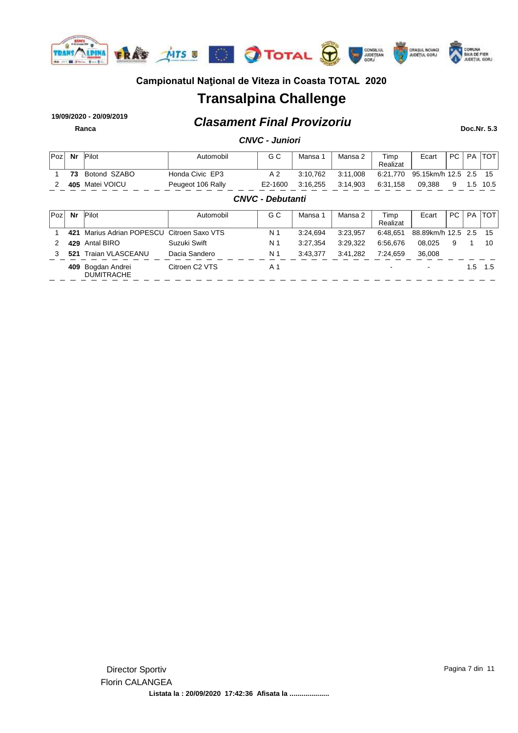

# **Transalpina Challenge**

### *Clasament Final Provizoriu* **19/09/2020 - 20/09/2019 Ranca Doc.Nr. 5.3**

| <b>CNVC - Juniori</b> |  |
|-----------------------|--|
|-----------------------|--|

| Poz | Nr  | Pilot                                  | Automobil                  | G C                     | Mansa 1  | Mansa 2  | Timp<br>Realizat | Ecart              | PC. | <b>PA</b> | <b>TOT</b> |
|-----|-----|----------------------------------------|----------------------------|-------------------------|----------|----------|------------------|--------------------|-----|-----------|------------|
|     | 73  | Botond SZABO                           | Honda Civic EP3            | A <sub>2</sub>          | 3:10,762 | 3:11.008 | 6:21.770         | 95.15km/h 12.5 2.5 |     |           | 15         |
| 2   | 405 | Matei VOICU                            | Peugeot 106 Rally          | E2-1600                 | 3:16,255 | 3:14.903 | 6:31.158         | 09.388             | 9   | 1.5       | 10.5       |
|     |     |                                        |                            | <b>CNVC - Debutanti</b> |          |          |                  |                    |     |           |            |
| Poz | Nr  | Pilot                                  | Automobil                  | G C                     | Mansa 1  | Mansa 2  | Timp<br>Realizat | Ecart              | PC. | <b>PA</b> | <b>TOT</b> |
|     | 421 | Marius Adrian POPESCU Citroen Saxo VTS |                            | N 1                     | 3:24.694 | 3:23,957 | 6:48.651         | 88.89km/h 12.5 2.5 |     |           | -15        |
| 2   | 429 | Antal BIRO                             | Suzuki Swift               | N 1                     | 3:27.354 | 3:29.322 | 6:56.676         | 08.025             | 9   |           | 10         |
| 3   | 521 | <b>Traian VLASCEANU</b>                | Dacia Sandero              | N 1                     | 3:43,377 | 3:41,282 | 7:24,659         | 36,008             |     |           |            |
|     | 409 | Bogdan Andrei<br><b>DUMITRACHE</b>     | Citroen C <sub>2</sub> VTS | A <sub>1</sub>          |          |          |                  |                    |     | 1.5       | 1.5        |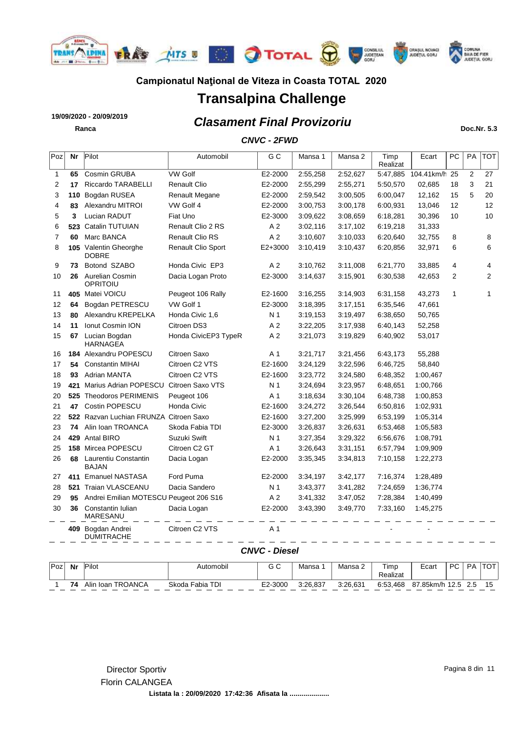

# **Transalpina Challenge**

*Clasament Final Provizoriu* **19/09/2020 - 20/09/2019 Ranca Doc.Nr. 5.3**

### *CNVC - 2FWD*

| 1<br>2 | 65  |                                        |                       |                |          |          | Realizat |            |                |                |                |
|--------|-----|----------------------------------------|-----------------------|----------------|----------|----------|----------|------------|----------------|----------------|----------------|
|        |     | Cosmin GRUBA                           | <b>VW Golf</b>        | E2-2000        | 2:55,258 | 2:52,627 | 5:47,885 | 104.41km/h | 25             | $\overline{2}$ | 27             |
|        | 17  | Riccardo TARABELLI                     | <b>Renault Clio</b>   | E2-2000        | 2:55,299 | 2:55,271 | 5:50,570 | 02,685     | 18             | 3              | 21             |
| 3      | 110 | Bogdan RUSEA                           | <b>Renault Megane</b> | E2-2000        | 2:59,542 | 3:00,505 | 6:00,047 | 12,162     | 15             | 5              | 20             |
| 4      | 83  | Alexandru MITROI                       | VW Golf 4             | E2-2000        | 3:00,753 | 3:00,178 | 6:00,931 | 13,046     | 12             |                | 12             |
| 5      | 3   | Lucian RADUT                           | Fiat Uno              | E2-3000        | 3:09,622 | 3:08,659 | 6:18,281 | 30,396     | 10             |                | 10             |
| 6      |     | 523 Catalin TUTUIAN                    | Renault Clio 2 RS     | A 2            | 3:02,116 | 3:17,102 | 6:19,218 | 31,333     |                |                |                |
| 7      | 60  | Marc BANCA                             | Renault Clio RS       | A <sub>2</sub> | 3:10,607 | 3:10,033 | 6:20,640 | 32,755     | 8              |                | 8              |
| 8      |     | 105 Valentin Gheorghe<br><b>DOBRE</b>  | Renault Clio Sport    | $E2+3000$      | 3:10,419 | 3:10,437 | 6:20,856 | 32,971     | 6              |                | 6              |
| 9      | 73  | Botond SZABO                           | Honda Civic EP3       | A <sub>2</sub> | 3:10,762 | 3:11,008 | 6:21,770 | 33,885     | 4              |                | 4              |
| 10     | 26  | Aurelian Cosmin<br>OPRITOIU            | Dacia Logan Proto     | E2-3000        | 3:14,637 | 3:15,901 | 6:30,538 | 42,653     | $\overline{2}$ |                | $\overline{2}$ |
| 11     |     | 405 Matei VOICU                        | Peugeot 106 Rally     | E2-1600        | 3:16,255 | 3:14,903 | 6:31,158 | 43,273     | $\mathbf{1}$   |                | 1              |
| 12     | 64  | Bogdan PETRESCU                        | VW Golf 1             | E2-3000        | 3:18,395 | 3:17,151 | 6:35,546 | 47,661     |                |                |                |
| 13     | 80  | Alexandru KREPELKA                     | Honda Civic 1,6       | N <sub>1</sub> | 3:19,153 | 3:19,497 | 6:38,650 | 50,765     |                |                |                |
| 14     | 11  | <b>Ionut Cosmin ION</b>                | Citroen DS3           | A <sub>2</sub> | 3:22,205 | 3:17,938 | 6:40,143 | 52,258     |                |                |                |
| 15     | 67  | Lucian Bogdan<br><b>HARNAGEA</b>       | Honda CivicEP3 TypeR  | A 2            | 3:21,073 | 3:19,829 | 6:40,902 | 53,017     |                |                |                |
| 16     |     | 184 Alexandru POPESCU                  | Citroen Saxo          | A 1            | 3:21,717 | 3:21,456 | 6:43,173 | 55,288     |                |                |                |
| 17     | 54  | <b>Constantin MIHAI</b>                | Citroen C2 VTS        | E2-1600        | 3:24,129 | 3:22,596 | 6:46,725 | 58,840     |                |                |                |
| 18     | 93  | <b>Adrian MANTA</b>                    | Citroen C2 VTS        | E2-1600        | 3:23,772 | 3:24,580 | 6:48,352 | 1:00,467   |                |                |                |
| 19     | 421 | Marius Adrian POPESCU                  | Citroen Saxo VTS      | N 1            | 3:24,694 | 3:23,957 | 6:48,651 | 1:00,766   |                |                |                |
| 20     | 525 | <b>Theodoros PERIMENIS</b>             | Peugeot 106           | A 1            | 3:18,634 | 3:30,104 | 6:48,738 | 1:00,853   |                |                |                |
| 21     | 47  | Costin POPESCU                         | Honda Civic           | E2-1600        | 3:24,272 | 3:26,544 | 6:50,816 | 1:02,931   |                |                |                |
| 22     |     | 522 Razvan Luchian FRUNZA Citroen Saxo |                       | E2-1600        | 3:27,200 | 3:25,999 | 6:53,199 | 1:05,314   |                |                |                |
| 23     | 74  | Alin Ioan TROANCA                      | Skoda Fabia TDI       | E2-3000        | 3:26,837 | 3:26,631 | 6:53,468 | 1:05,583   |                |                |                |
| 24     |     | 429 Antal BIRO                         | Suzuki Swift          | N <sub>1</sub> | 3:27,354 | 3:29,322 | 6:56,676 | 1:08,791   |                |                |                |
| 25     |     | 158 Mircea POPESCU                     | Citroen C2 GT         | A 1            | 3:26,643 | 3:31,151 | 6:57,794 | 1:09,909   |                |                |                |
| 26     | 68  | Laurentiu Constantin<br><b>BAJAN</b>   | Dacia Logan           | E2-2000        | 3:35,345 | 3:34,813 | 7:10,158 | 1:22,273   |                |                |                |
| 27     |     | 411 Emanuel NASTASA                    | Ford Puma             | E2-2000        | 3:34,197 | 3:42,177 | 7:16,374 | 1:28,489   |                |                |                |
| 28     |     | 521 Traian VLASCEANU                   | Dacia Sandero         | N 1            | 3:43,377 | 3:41,282 | 7:24,659 | 1:36,774   |                |                |                |
| 29     | 95  | Andrei Emilian MOTESCU Peugeot 206 S16 |                       | A <sub>2</sub> | 3:41,332 | 3:47,052 | 7:28,384 | 1:40,499   |                |                |                |
| 30     | 36  | Constantin Iulian<br>MARESANU          | Dacia Logan           | E2-2000        | 3:43,390 | 3:49,770 | 7:33,160 | 1:45,275   |                |                |                |
|        |     | 409 Bogdan Andrei<br><b>DUMITRACHE</b> | Citroen C2 VTS        | A 1            |          |          |          |            |                |                |                |

*CNVC - Diesel*

| Poz | Nr | Pilot             | Automobil       | $\sim$ $\sim$<br>ں ن | Mansa    | Mansa 2  | Timp<br>Realizat | Ecan      | РC | <b>PA</b> | $T\cap T$<br>ັ |
|-----|----|-------------------|-----------------|----------------------|----------|----------|------------------|-----------|----|-----------|----------------|
|     | 74 | Alin Ioan TROANCA | Skoda Fabia TDI | E2-3000              | 3:26.837 | 3:26,631 | 6:53,468         | 87.85km/h |    | 2.5       |                |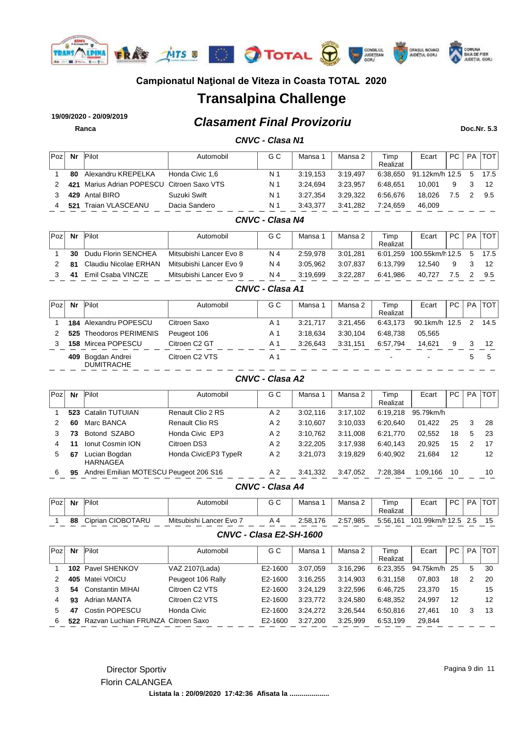

# **Transalpina Challenge**

*Clasament Final Provizoriu* **19/09/2020 - 20/09/2019 Ranca Doc.Nr. 5.3**

### *CNVC - Clasa N1*

| Poz | Nr  | Pilot                                      | Automobil       | G C | Mansa    | Mansa 2  | Timp     | Ecart                 | PC. | PA | TOT. |
|-----|-----|--------------------------------------------|-----------------|-----|----------|----------|----------|-----------------------|-----|----|------|
|     |     |                                            |                 |     |          |          | Realizat |                       |     |    |      |
|     | 80  | Alexandru KREPELKA                         | Honda Civic 1.6 | N 1 | 3:19.153 | 3:19.497 | 6:38.650 | 91.12km/h 12.5 5 17.5 |     |    |      |
|     |     | 421 Marius Adrian POPESCU Citroen Saxo VTS |                 | N 1 | 3:24.694 | 3:23.957 | 6:48.651 | 10.001                | 9   |    |      |
|     |     | 429 Antal BIRO                             | Suzuki Swift    | N 1 | 3:27.354 | 3:29.322 | 6:56.676 | 18.026                | 7.5 |    | 9.5  |
|     | 521 | <b>Traian VLASCEANU</b>                    | Dacia Sandero   | N 1 | 3:43.377 | 3:41.282 | 7:24.659 | 46.009                |     |    |      |

#### *CNVC - Clasa N4*

| Poz | Nr | Pilot                 | Automobil               | G C | Mansa    | Mansa 2  | Timp<br>Realizat | Ecart           | PC  | <b>PA</b> | TOT  |
|-----|----|-----------------------|-------------------------|-----|----------|----------|------------------|-----------------|-----|-----------|------|
|     | 30 | Dudu Florin SENCHEA   | Mitsubishi Lancer Evo 8 | N 4 | 2:59.978 | 3:01.281 | 6:01.259         | 100.55km/h 12.5 |     | 5         | 17.5 |
|     | 81 | Claudiu Nicolae ERHAN | Mitsubishi Lancer Evo 9 | N 4 | 3:05.962 | 3:07.837 | 6:13.799         | 12.540          |     |           |      |
|     | 41 | Emil Csaba VINCZE     | Mitsubishi Lancer Evo 9 | N 4 | 3:19.699 | 3:22.287 | 6.41.986         | 40.727          | 7.5 |           | 9.5  |

### *CNVC - Clasa A1*

| Poz | Nr | Pilot                                  | Automobil                  | G C | Mansa    | Mansa 2  | Timp<br>Realizat | Ecart           | PC. | PA | <b>TOT</b> |
|-----|----|----------------------------------------|----------------------------|-----|----------|----------|------------------|-----------------|-----|----|------------|
|     |    | 184 Alexandru POPESCU                  | Citroen Saxo               | A 1 | 3:21.717 | 3:21.456 | 6:43.173         | 90.1km/h 12.5 2 |     |    | 14.5       |
|     |    | 525 Theodoros PERIMENIS                | Peugeot 106                | A 1 | 3:18.634 | 3:30.104 | 6:48.738         | 05.565          |     |    |            |
|     |    | <b>158 Mircea POPESCU</b>              | Citroen C <sub>2</sub> GT  | A 1 | 3:26.643 | 3:31.151 | 6:57.794         | 14.621          | 9   |    | 12         |
|     |    | 409 Bogdan Andrei<br><b>DUMITRACHE</b> | Citroen C <sub>2</sub> VTS | A 1 |          |          |                  |                 |     | 5  | 5          |

#### *CNVC - Clasa A2*

| Poz | Nr | Pilot                                  | Automobil            | G C                    | Mansa 1  | Mansa 2  | Timp<br>Realizat | Ecart     | PC. | <b>PA</b> | <b>TOT</b> |
|-----|----|----------------------------------------|----------------------|------------------------|----------|----------|------------------|-----------|-----|-----------|------------|
|     |    | 523 Catalin TUTUIAN                    | Renault Clio 2 RS    | A 2                    | 3:02.116 | 3:17,102 | 6:19.218         | 95.79km/h |     |           |            |
|     | 60 | Marc BANCA                             | Renault Clio RS      | A 2                    | 3:10.607 | 3:10.033 | 6:20.640         | 01.422    | 25  | 3         | -28        |
| 3   | 73 | Botond SZABO                           | Honda Civic EP3      | A 2                    | 3:10.762 | 3:11.008 | 6:21.770         | 02,552    | 18  | 5         | 23         |
| 4   | 11 | <b>Ionut Cosmin ION</b>                | Citroen DS3          | A 2                    | 3:22.205 | 3:17,938 | 6:40.143         | 20,925    | 15  | 2         | 17         |
| 5   | 67 | Lucian Bogdan<br><b>HARNAGEA</b>       | Honda CivicEP3 TypeR | A 2                    | 3:21.073 | 3:19.829 | 6:40.902         | 21.684    | 12  |           | 12         |
| 6   | 95 | Andrei Emilian MOTESCU Peugeot 206 S16 |                      | A 2                    | 3:41,332 | 3:47,052 | 7:28,384         | 1:09.166  | 10  |           | 10         |
|     |    |                                        |                      | <b>CNVC - Clasa A4</b> |          |          |                  |           |     |           |            |

| <sup>1</sup> Pozi | Nr | Pilot                           | Automobil                               | $\sim$ $\sim$<br>G<br>◡ | Mansa        | Mansa ∠      | Timp     | Ecart              | DC. | D A |    |
|-------------------|----|---------------------------------|-----------------------------------------|-------------------------|--------------|--------------|----------|--------------------|-----|-----|----|
|                   |    |                                 |                                         |                         |              |              | Realizat |                    |     |     |    |
|                   | 88 | ا CIOBOTARU<br><i>`</i> iprianٽ | Mitsubishi I<br>Lancer Evo <sup>-</sup> |                         | 176<br>2:58. | 2:57<br>.985 | 5:56,161 | 101<br>.99km/h 12. |     |     | 15 |

#### *CNVC - Clasa E2-SH-1600*

| 'Poz | Nr  | Pilot                                  | Automobil                  | G C     | Mansa 1  | Mansa 2  | Timp<br>Realizat | Ecart        | PC. | PA | <b>TOT</b> |
|------|-----|----------------------------------------|----------------------------|---------|----------|----------|------------------|--------------|-----|----|------------|
|      |     | 102 Pavel SHENKOV                      | VAZ 2107(Lada)             | E2-1600 | 3:07.059 | 3:16,296 | 6:23,355         | 94.75km/h 25 |     | 5  | 30         |
|      | 405 | Matei VOICU                            | Peugeot 106 Rally          | E2-1600 | 3:16.255 | 3:14.903 | 6:31.158         | 07.803       | 18  | 2  | -20        |
|      | 54  | <b>Constantin MIHAI</b>                | Citroen C <sub>2</sub> VTS | E2-1600 | 3:24.129 | 3:22.596 | 6:46.725         | 23.370       | 15  |    | 15         |
|      | 93  | Adrian MANTA                           | Citroen C <sub>2</sub> VTS | E2-1600 | 3:23.772 | 3:24.580 | 6:48.352         | 24.997       | 12  |    | 12         |
| 5    | 47  | Costin POPESCU                         | Honda Civic                | E2-1600 | 3:24.272 | 3:26.544 | 6:50.816         | 27.461       | 10  | 3  | 13         |
| 6    |     | 522 Razvan Luchian FRUNZA Citroen Saxo |                            | E2-1600 | 3:27.200 | 3:25.999 | 6:53.199         | 29.844       |     |    |            |

Director Sportiv Florin CALANGEA **Listata la : 20/09/2020 17:42:36 Afisata la ....................** Pagina 9 din 11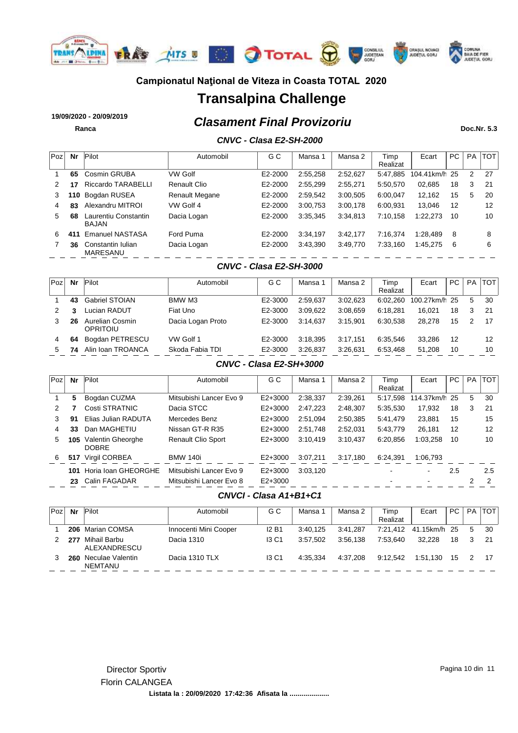

# **Transalpina Challenge**

*Clasament Final Provizoriu* **19/09/2020 - 20/09/2019**

**Ranca Doc.Nr. 5.3**

### *CNVC - Clasa E2-SH-2000*

| Poz | Nr  | Pilot                                | Automobil           | G C     | Mansa 1  | Mansa 2  | Timp<br>Realizat | Ecart         | PC. | <b>PA</b> | <b>TOT</b> |
|-----|-----|--------------------------------------|---------------------|---------|----------|----------|------------------|---------------|-----|-----------|------------|
|     | 65  | Cosmin GRUBA                         | VW Golf             | E2-2000 | 2:55.258 | 2:52,627 | 5:47,885         | 104.41km/h 25 |     | 2         | -27        |
|     |     | Riccardo TARABELLI                   | <b>Renault Clio</b> | E2-2000 | 2:55,299 | 2:55.271 | 5:50.570         | 02,685        | 18  | 3         | -21        |
| 3   | 110 | Bogdan RUSEA                         | Renault Megane      | E2-2000 | 2:59.542 | 3:00.505 | 6:00.047         | 12.162        | 15  | 5         | 20         |
| 4   | 83  | Alexandru MITROI                     | VW Golf 4           | E2-2000 | 3:00.753 | 3:00.178 | 6:00.931         | 13.046        | 12  |           | 12         |
| 5.  | 68  | Laurentiu Constantin<br><b>BAJAN</b> | Dacia Logan         | E2-2000 | 3:35,345 | 3:34,813 | 7:10.158         | 1:22,273      | 10  |           | 10         |
| 6   | 411 | <b>Emanuel NASTASA</b>               | Ford Puma           | E2-2000 | 3:34,197 | 3:42.177 | 7:16.374         | 1.28.489      | 8   |           | 8          |
|     | 36  | Constantin Iulian<br><b>MARESANU</b> | Dacia Logan         | E2-2000 | 3:43,390 | 3:49.770 | 7:33,160         | 1:45.275      | 6   |           | 6          |

#### *CNVC - Clasa E2-SH-3000*

| Poz | Nr | Pilot                       | Automobil         | G C     | Mansa 1  | Mansa 2  | Timp     | Ecart         | PC. | <b>PA</b> | <b>TOT</b> |
|-----|----|-----------------------------|-------------------|---------|----------|----------|----------|---------------|-----|-----------|------------|
|     |    |                             |                   |         |          |          | Realizat |               |     |           |            |
|     | 43 | <b>Gabriel STOIAN</b>       | BMW M3            | E2-3000 | 2:59.637 | 3:02.623 | 6:02.260 | 100.27km/h 25 |     | 5         | 30         |
|     | 3  | Lucian RADUT                | Fiat Uno          | E2-3000 | 3:09.622 | 3:08.659 | 6:18.281 | 16.021        | 18  | 3         | -21        |
|     | 26 | Aurelian Cosmin<br>OPRITOIU | Dacia Logan Proto | E2-3000 | 3:14.637 | 3:15.901 | 6:30.538 | 28.278        | 15  | 2         | 17         |
| 4   | 64 | Bogdan PETRESCU             | VW Golf 1         | E2-3000 | 3:18.395 | 3:17.151 | 6:35.546 | 33.286        | 12  |           | 12         |
| 5   | 74 | Alin Ioan TROANCA           | Skoda Fabia TDI   | E2-3000 | 3:26.837 | 3:26.631 | 6:53.468 | 51,208        | 10  |           | 10         |

#### *CNVC - Clasa E2-SH+3000*

| Poz | Nr  | Pilot                             | Automobil                 | G C         | Mansa 1  | Mansa 2  | Timp<br>Realizat | Ecart                    | PC. | <b>PA</b> | <b>TOT</b> |
|-----|-----|-----------------------------------|---------------------------|-------------|----------|----------|------------------|--------------------------|-----|-----------|------------|
|     | 5   | Bogdan CUZMA                      | Mitsubishi Lancer Evo 9   | $E2 + 3000$ | 2:38,337 | 2:39,261 | 5:17.598         | 114.37km/h 25            |     | 5         | 30         |
| 2   |     | Costi STRATNIC                    | Dacia STCC                | $E2 + 3000$ | 2:47,223 | 2:48.307 | 5:35,530         | 17,932                   | 18  | 3         | 21         |
| 3   | 91  | Elias Julian RADUTA               | Mercedes Benz             | $E2+3000$   | 2:51.094 | 2:50,385 | 5:41.479         | 23,881                   | 15  |           | 15         |
| 4   | 33  | Dan MAGHETIU                      | Nissan GT-R R35           | $E2+3000$   | 2:51.748 | 2:52,031 | 5:43.779         | 26.181                   | 12  |           | 12         |
| 5   | 105 | Valentin Gheorghe<br><b>DOBRE</b> | <b>Renault Clio Sport</b> | $E2+3000$   | 3:10.419 | 3:10,437 | 6:20.856         | 1:03,258                 | 10  |           | 10         |
| 6   | 517 | Virgil CORBEA                     | <b>BMW 140i</b>           | $E2+3000$   | 3:07.211 | 3:17.180 | 6:24.391         | 1:06.793                 |     |           |            |
|     | 101 | Horia Ioan GHEORGHE               | Mitsubishi Lancer Evo 9   | $E2+3000$   | 3:03.120 |          |                  | $\overline{\phantom{0}}$ | 2.5 |           | $2.5\,$    |
|     | 23  | Calin FAGADAR                     | Mitsubishi Lancer Evo 8   | $E2+3000$   |          |          |                  |                          |     | っ         | 2          |

### *CNVCI - Clasa A1+B1+C1*

| Poz | Nr  | Pilot                        | Automobil             | G C          | Mansa    | Mansa 2  | Timp<br>Realizat | Ecart                 | PC. | PA      | <b>TOT</b> |
|-----|-----|------------------------------|-----------------------|--------------|----------|----------|------------------|-----------------------|-----|---------|------------|
|     |     | 206 Marian COMSA             | Innocenti Mini Cooper | <b>I2 B1</b> | 3:40.125 | 3:41.287 |                  | 7:21,412 41.15km/h 25 |     | -5      | - 30       |
|     | 277 | Mihail Barbu<br>ALEXANDRESCU | Dacia 1310            | <b>13 C1</b> | 3:57.502 | 3:56.138 | 7:53.640         | 32.228                | 18  |         |            |
|     | 260 | Neculae Valentin<br>NEMTANU  | Dacia 1310 TLX        | <b>13 C1</b> | 4:35.334 | 4:37.208 | 9:12.542         | 1:51.130              |     | 15 2 17 |            |